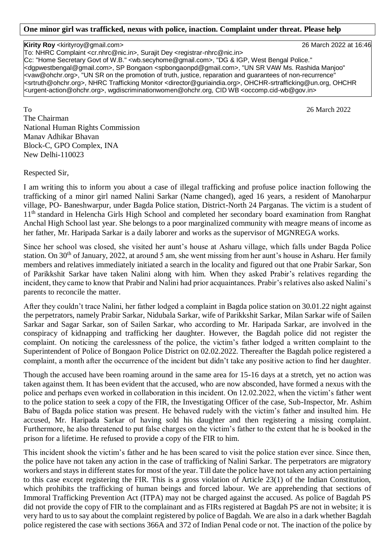## **One minor girl was trafficked, nexus with police, inaction. Complaint under threat. Please help**

**Kirity Roy** <kirityroy@gmail.com> 26 March 2022 at 16:46 To: NHRC Complaint <cr.nhrc@nic.in>, Surajit Dey <registrar-nhrc@nic.in> Cc: "Home Secretary Govt of W.B." <wb.secyhome@gmail.com>, "DG & IGP, West Bengal Police." <dgpwestbengal@gmail.com>, SP Bongaon <spbongaonpd@gmail.com>, "UN SR VAW Ms. Rashida Manjoo" <vaw@ohchr.org>, "UN SR on the promotion of truth, justice, reparation and guarantees of non-recurrence" <srtruth@ohchr.org>, NHRC Trafficking Monitor <director@guriaindia.org>, OHCHR-srtrafficking@un.org, OHCHR <urgent-action@ohchr.org>, wgdiscriminationwomen@ohchr.org, CID WB <occomp.cid-wb@gov.in>

To 26 March 2022 The Chairman National Human Rights Commission Manav Adhikar Bhavan Block-C, GPO Complex, INA New Delhi-110023

Respected Sir,

I am writing this to inform you about a case of illegal trafficking and profuse police inaction following the trafficking of a minor girl named Nalini Sarkar (Name changed), aged 16 years, a resident of Manoharpur village, PO- Baneshwarpur, under Bagda Police station, District-North 24 Parganas. The victim is a student of 11<sup>th</sup> standard in Helencha Girls High School and completed her secondary board examination from Ranghat Anchal High School last year. She belongs to a poor marginalized community with meagre means of income as her father, Mr. Haripada Sarkar is a daily laborer and works as the supervisor of MGNREGA works.

Since her school was closed, she visited her aunt's house at Asharu village, which falls under Bagda Police station. On 30<sup>th</sup> of January, 2022, at around 5 am, she went missing from her aunt's house in Asharu. Her family members and relatives immediately initiated a search in the locality and figured out that one Prabir Sarkar, Son of Parikkshit Sarkar have taken Nalini along with him. When they asked Prabir's relatives regarding the incident, they came to know that Prabir and Nalini had prior acquaintances. Prabir's relatives also asked Nalini's parents to reconcile the matter.

After they couldn't trace Nalini, her father lodged a complaint in Bagda police station on 30.01.22 night against the perpetrators, namely Prabir Sarkar, Nidubala Sarkar, wife of Parikkshit Sarkar, Milan Sarkar wife of Sailen Sarkar and Sagar Sarkar, son of Sailen Sarkar, who according to Mr. Haripada Sarkar, are involved in the conspiracy of kidnapping and trafficking her daughter. However, the Bagdah police did not register the complaint. On noticing the carelessness of the police, the victim's father lodged a written complaint to the Superintendent of Police of Bongaon Police District on 02.02.2022. Thereafter the Bagdah police registered a complaint, a month after the occurrence of the incident but didn't take any positive action to find her daughter.

Though the accused have been roaming around in the same area for 15-16 days at a stretch, yet no action was taken against them. It has been evident that the accused, who are now absconded, have formed a nexus with the police and perhaps even worked in collaboration in this incident. On 12.02.2022, when the victim's father went to the police station to seek a copy of the FIR, the Investigating Officer of the case, Sub-Inspector, Mr. Ashim Babu of Bagda police station was present. He behaved rudely with the victim's father and insulted him. He accused, Mr. Haripada Sarkar of having sold his daughter and then registering a missing complaint. Furthermore, he also threatened to put false charges on the victim's father to the extent that he is booked in the prison for a lifetime. He refused to provide a copy of the FIR to him.

This incident shook the victim's father and he has been scared to visit the police station ever since. Since then, the police have not taken any action in the case of trafficking of Nalini Sarkar. The perpetrators are migratory workers and stays in different states for most of the year. Till date the police have not taken any action pertaining to this case except registering the FIR. This is a gross violation of Article 23(1) of the Indian Constitution, which prohibits the trafficking of human beings and forced labour. We are apprehending that sections of Immoral Trafficking Prevention Act (ITPA) may not be charged against the accused. As police of Bagdah PS did not provide the copy of FIR to the complainant and as FIRs registered at Bagdah PS are not in website; it is very hard to us to say about the complaint registered by police of Bagdah. We are also in a dark whether Bagdah police registered the case with sections 366A and 372 of Indian Penal code or not. The inaction of the police by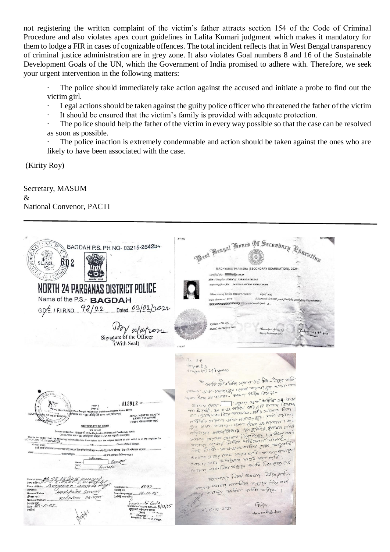not registering the written complaint of the victim's father attracts section 154 of the Code of Criminal Procedure and also violates apex court guidelines in Lalita Kumari judgment which makes it mandatory for them to lodge a FIR in cases of cognizable offences. The total incident reflects that in West Bengal transparency of criminal justice administration are in grey zone. It also violates Goal numbers 8 and 16 of the Sustainable Development Goals of the UN, which the Government of India promised to adhere with. Therefore, we seek your urgent intervention in the following matters:

The police should immediately take action against the accused and initiate a probe to find out the victim girl.

- Legal actions should be taken against the guilty police officer who threatened the father of the victim
- It should be ensured that the victim's family is provided with adequate protection.

The police should help the father of the victim in every way possible so that the case can be resolved as soon as possible.

The police inaction is extremely condemnable and action should be taken against the ones who are likely to have been associated with the case.

(Kirity Roy)

Secretary, MASUM & National Convenor, PACTI